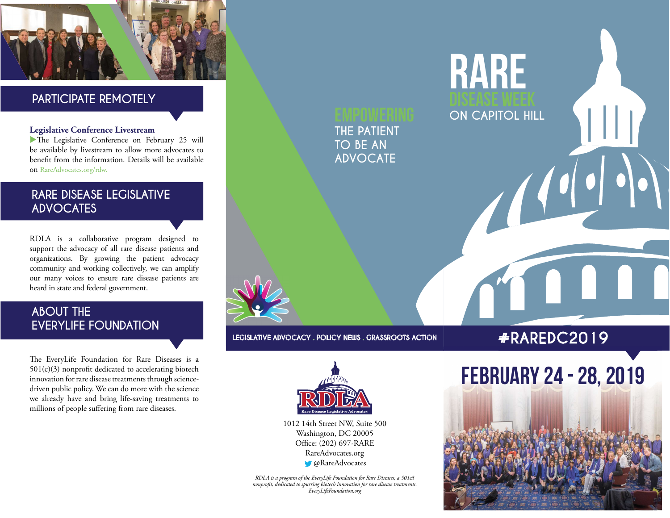

### PARTICIPATE REMOTELY

#### Legislative Conference Livestream

The Legislative Conference on February 25 will be available by livestream to allow more advocates to benefit from the information. Details will be available on RareAdvocates.org/rdw.

### RARE DISEASE LEGISLATIVE ADVOCATES

RDLA is a collaborative program designed to support the advocacy of all rare disease patients and organizations. By growing the patient advocacy community and working collectively, we can amplify our many voices to ensure rare disease patients are heard in state and federal government.

### ABOUT THE EVERYLIFE FOUNDATION

The EveryLife Foundation for Rare Diseases is a  $501(c)(3)$  nonprofit dedicated to accelerating biotech innovation for rare disease treatments through sciencedriven public policy. We can do more with the science we already have and bring life-saving treatments to millions of people suffering from rare diseases.

THE PATIENT TO BE AN ADVOCATE

LEGISLATIVE ADVOCACY . POLICY NEWS . GRASSROOTS ACTION

# #RAREDC2019

 $\sqrt{\frac{1}{2}}$ 

RARE

ON CAPITOL HILL



1012 14th Street NW, Suite 500 Washington, DC 20005 Office: (202) 697-RARE RareAdvocates.org **C** @RareAdvocates

RDLA is a program of the EveryLife Foundation for Rare Diseases, a 501c3 nonprofit, dedicated to spurring biotech innovation for rare disease treatments.<br>EveryLifeFoundation.org